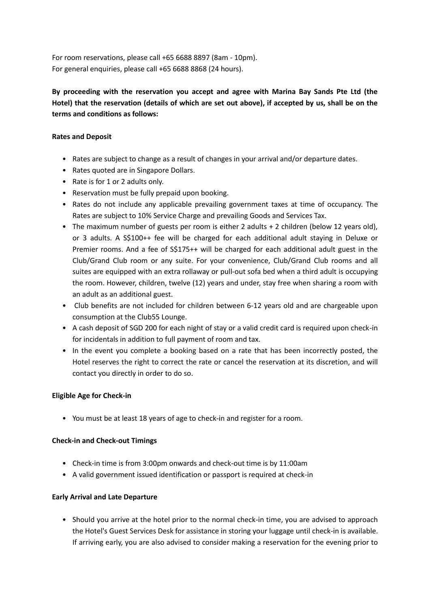For room reservations, please call +65 6688 8897 (8am - 10pm). For general enquiries, please call +65 6688 8868 (24 hours).

**By proceeding with the reservation you accept and agree with Marina Bay Sands Pte Ltd (the Hotel) that the reservation (details of which are set out above), if accepted by us, shall be on the terms and conditions as follows:**

## **Rates and Deposit**

- Rates are subject to change as a result of changes in your arrival and/or departure dates.
- Rates quoted are in Singapore Dollars.
- Rate is for 1 or 2 adults only.
- Reservation must be fully prepaid upon booking.
- Rates do not include any applicable prevailing government taxes at time of occupancy. The Rates are subject to 10% Service Charge and prevailing Goods and Services Tax.
- The maximum number of guests per room is either 2 adults + 2 children (below 12 years old), or 3 adults. A S\$100++ fee will be charged for each additional adult staying in Deluxe or Premier rooms. And a fee of S\$175++ will be charged for each additional adult guest in the Club/Grand Club room or any suite. For your convenience, Club/Grand Club rooms and all suites are equipped with an extra rollaway or pull-out sofa bed when a third adult is occupying the room. However, children, twelve (12) years and under, stay free when sharing a room with an adult as an additional guest.
- Club benefits are not included for children between 6-12 years old and are chargeable upon consumption at the Club55 Lounge.
- A cash deposit of SGD 200 for each night of stay or a valid credit card is required upon check-in for incidentals in addition to full payment of room and tax.
- In the event you complete a booking based on a rate that has been incorrectly posted, the Hotel reserves the right to correct the rate or cancel the reservation at its discretion, and will contact you directly in order to do so.

#### **Eligible Age for Check-in**

• You must be at least 18 years of age to check-in and register for a room.

#### **Check-in and Check-out Timings**

- Check-in time is from 3:00pm onwards and check-out time is by 11:00am
- A valid government issued identification or passport is required at check-in

#### **Early Arrival and Late Departure**

• Should you arrive at the hotel prior to the normal check-in time, you are advised to approach the Hotel's Guest Services Desk for assistance in storing your luggage until check-in is available. If arriving early, you are also advised to consider making a reservation for the evening prior to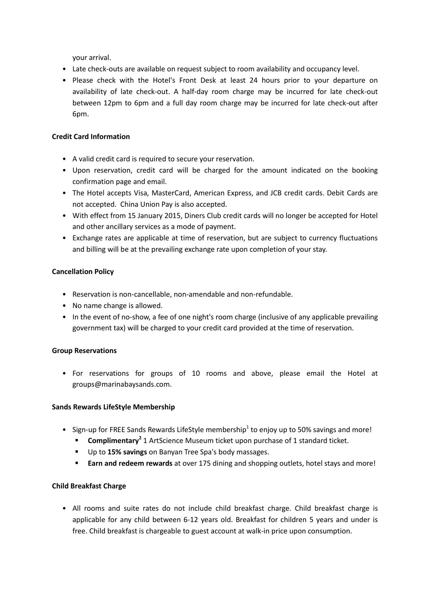your arrival.

- Late check-outs are available on request subject to room availability and occupancy level.
- Please check with the Hotel's Front Desk at least 24 hours prior to your departure on availability of late check-out. A half-day room charge may be incurred for late check-out between 12pm to 6pm and a full day room charge may be incurred for late check-out after 6pm.

### **Credit Card Information**

- A valid credit card is required to secure your reservation.
- Upon reservation, credit card will be charged for the amount indicated on the booking confirmation page and email.
- The Hotel accepts Visa, MasterCard, American Express, and JCB credit cards. Debit Cards are not accepted. China Union Pay is also accepted.
- With effect from 15 January 2015, Diners Club credit cards will no longer be accepted for Hotel and other ancillary services as a mode of payment.
- Exchange rates are applicable at time of reservation, but are subject to currency fluctuations and billing will be at the prevailing exchange rate upon completion of your stay.

### **Cancellation Policy**

- Reservation is non-cancellable, non-amendable and non-refundable.
- No name change is allowed.
- In the event of no-show, a fee of one night's room charge (inclusive of any applicable prevailing government tax) will be charged to your credit card provided at the time of reservation.

# **Group Reservations**

• For reservations for groups of 10 rooms and above, please email the Hotel at groups@marinabaysands.com.

# **Sands Rewards LifeStyle Membership**

- Sign-up for FREE Sands Rewards LifeStyle membership<sup>1</sup> to enjoy up to 50% savings and more!
	- **Complimentary<sup>2</sup>** 1 ArtScience Museum ticket upon purchase of 1 standard ticket.
	- Up to **15% savings** on Banyan Tree Spa's body massages.
	- **Earn and redeem rewards** at over 175 dining and shopping outlets, hotel stays and more!

# **Child Breakfast Charge**

• All rooms and suite rates do not include child breakfast charge. Child breakfast charge is applicable for any child between 6-12 years old. Breakfast for children 5 years and under is free. Child breakfast is chargeable to guest account at walk-in price upon consumption.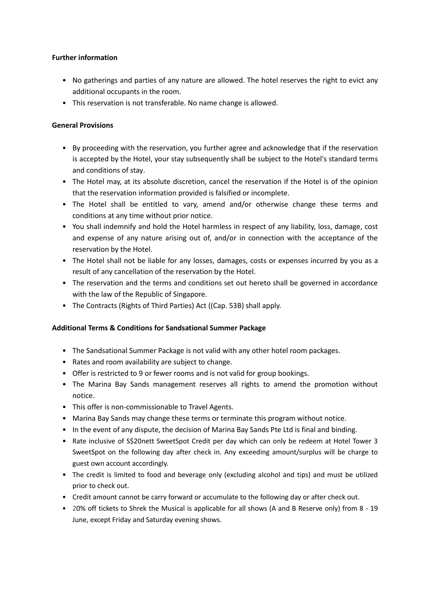### **Further information**

- No gatherings and parties of any nature are allowed. The hotel reserves the right to evict any additional occupants in the room.
- This reservation is not transferable. No name change is allowed.

## **General Provisions**

- By proceeding with the reservation, you further agree and acknowledge that if the reservation is accepted by the Hotel, your stay subsequently shall be subject to the Hotel's standard terms and conditions of stay.
- The Hotel may, at its absolute discretion, cancel the reservation if the Hotel is of the opinion that the reservation information provided is falsified or incomplete.
- The Hotel shall be entitled to vary, amend and/or otherwise change these terms and conditions at any time without prior notice.
- You shall indemnify and hold the Hotel harmless in respect of any liability, loss, damage, cost and expense of any nature arising out of, and/or in connection with the acceptance of the reservation by the Hotel.
- The Hotel shall not be liable for any losses, damages, costs or expenses incurred by you as a result of any cancellation of the reservation by the Hotel.
- The reservation and the terms and conditions set out hereto shall be governed in accordance with the law of the Republic of Singapore.
- The Contracts (Rights of Third Parties) Act ((Cap. 53B) shall apply.

# **Additional Terms & Conditions for Sandsational Summer Package**

- The Sandsational Summer Package is not valid with any other hotel room packages.
- Rates and room availability are subject to change.
- Offer is restricted to 9 or fewer rooms and is not valid for group bookings.
- The Marina Bay Sands management reserves all rights to amend the promotion without notice.
- This offer is non-commissionable to Travel Agents.
- Marina Bay Sands may change these terms or terminate this program without notice.
- In the event of any dispute, the decision of Marina Bay Sands Pte Ltd is final and binding.
- Rate inclusive of S\$20nett SweetSpot Credit per day which can only be redeem at Hotel Tower 3 SweetSpot on the following day after check in. Any exceeding amount/surplus will be charge to guest own account accordingly.
- The credit is limited to food and beverage only (excluding alcohol and tips) and must be utilized prior to check out.
- Credit amount cannot be carry forward or accumulate to the following day or after check out.
- 20% off tickets to Shrek the Musical is applicable for all shows (A and B Reserve only) from 8 19 June, except Friday and Saturday evening shows.